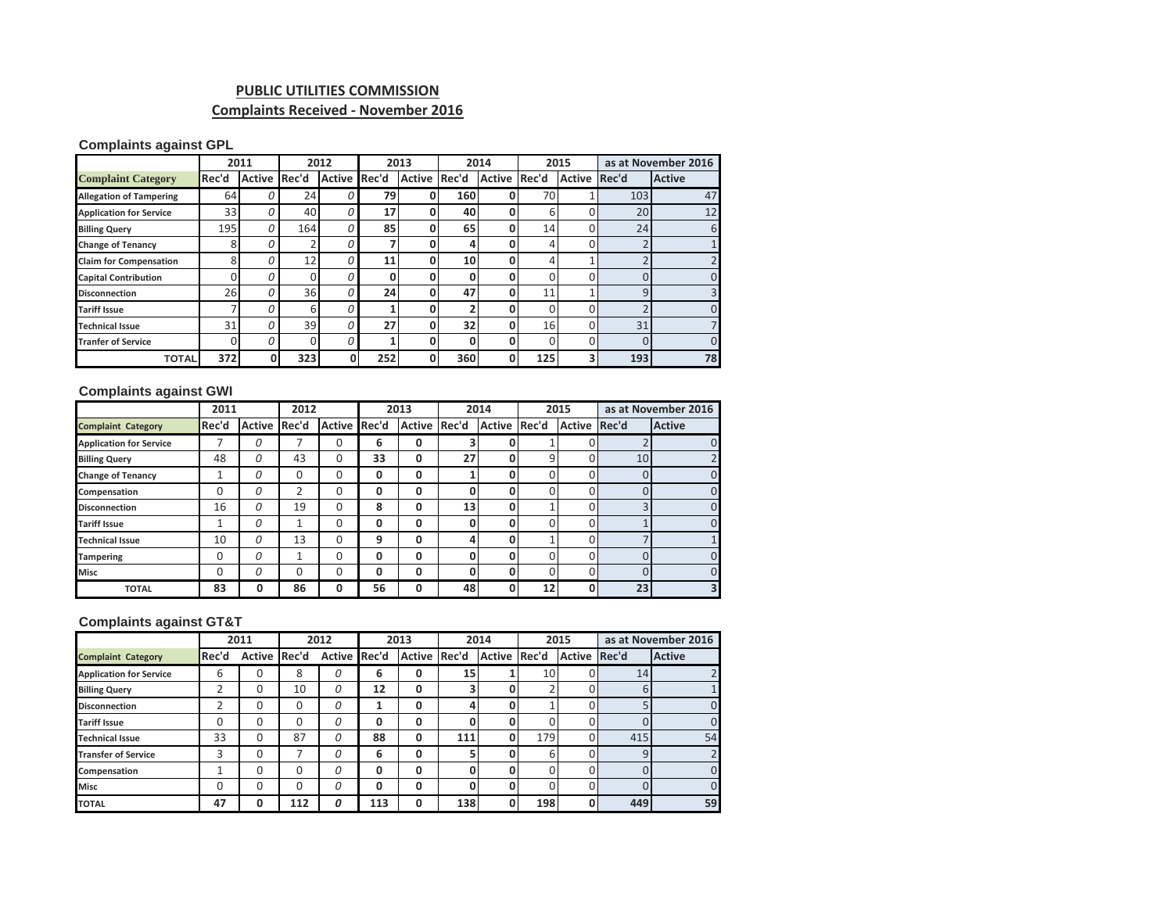# **PUBLIC UTILITIES COMMISSION Complaints Received - November 2016**

### **Complaints against GPL**

|                                |          | 2011          |       | 2012          |       | 2013          |       | 2014          | 2015            |               | as at November 2016 |                |
|--------------------------------|----------|---------------|-------|---------------|-------|---------------|-------|---------------|-----------------|---------------|---------------------|----------------|
| <b>Complaint Category</b>      | Rec'd    | <b>Active</b> | Rec'd | <b>Active</b> | Rec'd | <b>Active</b> | Rec'd | <b>Active</b> | Rec'd           | <b>Active</b> | Rec'd               | <b>Active</b>  |
| <b>Allegation of Tampering</b> | 64       | 0             | 24    |               | 79    | 0             | 160   |               | 70              |               | 103                 | 47             |
| <b>Application for Service</b> | 33       | 0             | 40    |               | 17    | 0             | 40    | Ω             | 6               |               | 20                  | 12             |
| <b>Billing Query</b>           | 195      | 0             | 164   |               | 85    | 0             | 65    | Ω             | 14              | 0             | 24                  | 6              |
| <b>Change of Tenancy</b>       | 8        | 0             |       |               |       | 0             | 4     | 0             | 4               | U             |                     |                |
| <b>Claim for Compensation</b>  | 8        | 0             | 12    |               | 11    |               | 10    |               |                 |               |                     | $\overline{2}$ |
| <b>Capital Contribution</b>    |          | 0             |       |               | 0     | በ             | 0     |               |                 |               |                     | $\overline{0}$ |
| <b>Disconnection</b>           | 26       | 0             | 36    |               | 24    | 0             | 47    | 0             | 11              |               | 9                   | 3              |
| <b>Tariff Issue</b>            |          | 0             | 6     |               |       | 0             |       | 0             | $\Omega$        | U             |                     | $\mathbf{0}$   |
| <b>Technical Issue</b>         | 31       | 0             | 39    | O             | 27    | 0             | 32    | 0             | 16 <sup>1</sup> | 0             | 31                  | 7              |
| <b>Tranfer of Service</b>      | $\Omega$ | 0             |       |               |       | 0             | 0     | Ω             |                 | U             | 0                   | $\mathbf{0}$   |
| <b>TOTAL</b>                   | 372      |               | 323   | Ω             | 252   |               | 360   | 0             | 125             | 3             | 193                 | 78             |

## **Complaints against GWI**

|                                | 2011  |              | 2012 |               | 2013  |              | 2014 |               | 2015  |                     | as at November 2016 |                         |
|--------------------------------|-------|--------------|------|---------------|-------|--------------|------|---------------|-------|---------------------|---------------------|-------------------------|
| <b>Complaint Category</b>      | Rec'd | Active Rec'd |      | <b>Active</b> | Rec'd | Active Rec'd |      | <b>Active</b> | Rec'd | <b>Active Rec'd</b> |                     | <b>Active</b>           |
| <b>Application for Service</b> |       | 0            |      | 0             | 6     | 0            | 3    |               |       | 0                   |                     | O                       |
| <b>Billing Query</b>           | 48    | 0            | 43   | 0             | 33    | 0            | 27   | 0             | 9     | $\Omega$            | 10                  |                         |
| <b>Change of Tenancy</b>       | 1     | 0            | 0    | 0             | 0     | 0            |      | O             |       | $\Omega$            |                     | $\Omega$                |
| Compensation                   | 0     | 0            | 2    | 0             | 0     | 0            | 0    | 0             |       | 0                   |                     | $\Omega$                |
| <b>Disconnection</b>           | 16    | 0            | 19   | 0             | 8     | 0            | 13   | 0             |       | 0                   | h                   | $\Omega$                |
| <b>Tariff Issue</b>            |       | 0            |      | 0             | 0     | 0            | 0    | ۵             |       | 0                   |                     | $\Omega$                |
| <b>Technical Issue</b>         | 10    | 0            | 13   | 0             | 9     | 0            | 4    |               |       | 0                   |                     |                         |
| <b>Tampering</b>               | 0     | O            |      | 0             | 0     | 0            | 0    | ۵             |       | $\Omega$            |                     | $\Omega$                |
| <b>Misc</b>                    | 0     | 0            | 0    | 0             | 0     | 0            | 0    |               |       | 0                   | Ω                   | $\Omega$                |
| <b>TOTAL</b>                   | 83    |              | 86   | 0             | 56    | 0            | 48   |               | 12    | $\mathbf{0}$        | 23                  | $\overline{\mathbf{3}}$ |

### **Complaints against GT&T**

|                                | 2011  |          | 2012  |               | 2013  |               | 2014  |              | 2015 |               | as at November 2016 |                |
|--------------------------------|-------|----------|-------|---------------|-------|---------------|-------|--------------|------|---------------|---------------------|----------------|
| <b>Complaint Category</b>      | Rec'd | Active   | Rec'd | <b>Active</b> | Rec'd | <b>Active</b> | Rec'd | Active Rec'd |      | <b>Active</b> | Rec'd               | <b>Active</b>  |
| <b>Application for Service</b> | 6     | 0        | 8     | 0             | 6     | 0             | 15    |              | 10   | 0             | 14                  | $\overline{2}$ |
| <b>Billing Query</b>           | 2     | 0        | 10    | 0             | 12    | 0             | 3     | 0            |      | $\Omega$      | 6                   |                |
| <b>Disconnection</b>           | 2     | 0        | 0     | 0             |       | 0             | 4     |              |      | 0             |                     | 0              |
| <b>Tariff Issue</b>            | 0     | 0        | 0     | 0             | 0     | 0             | 0     | Ω            |      | 0             |                     | $\mathbf{0}$   |
| <b>Technical Issue</b>         | 33    | $\Omega$ | 87    | 0             | 88    | 0             | 111   | 0            | 179  | 0             | 415                 | 54             |
| <b>Transfer of Service</b>     | 3     | 0        |       | 0             | 6     | 0             | 5     | 0            | 6    | 0             | 9                   | $\overline{2}$ |
| Compensation                   |       | 0        | 0     | 0             | 0     | 0             | 0     | 0            |      | 0             |                     | $\mathbf{0}$   |
| <b>Misc</b>                    | 0     | 0        | 0     | 0             | 0     | 0             | 0     | 0            |      | $\Omega$      |                     | $\mathbf{0}$   |
| <b>TOTAL</b>                   | 47    | 0        | 112   | 0             | 113   | 0             | 138   | Ω            | 198  | $\mathbf 0$   | 449                 | 59             |